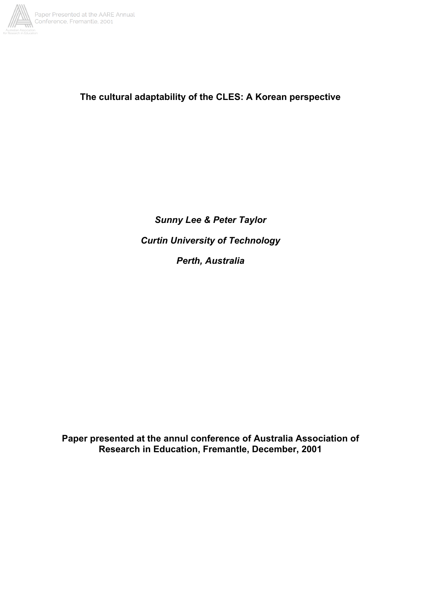

# **The cultural adaptability of the CLES: A Korean perspective**

*Sunny Lee & Peter Taylor Curtin University of Technology Perth, Australia*

**Paper presented at the annul conference of Australia Association of Research in Education, Fremantle, December, 2001**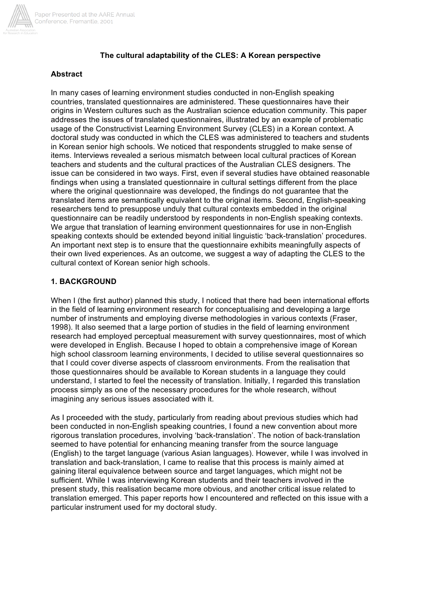

## **The cultural adaptability of the CLES: A Korean perspective**

## **Abstract**

In many cases of learning environment studies conducted in non-English speaking countries, translated questionnaires are administered. These questionnaires have their origins in Western cultures such as the Australian science education community. This paper addresses the issues of translated questionnaires, illustrated by an example of problematic usage of the Constructivist Learning Environment Survey (CLES) in a Korean context. A doctoral study was conducted in which the CLES was administered to teachers and students in Korean senior high schools. We noticed that respondents struggled to make sense of items. Interviews revealed a serious mismatch between local cultural practices of Korean teachers and students and the cultural practices of the Australian CLES designers. The issue can be considered in two ways. First, even if several studies have obtained reasonable findings when using a translated questionnaire in cultural settings different from the place where the original questionnaire was developed, the findings do not guarantee that the translated items are semantically equivalent to the original items. Second, English-speaking researchers tend to presuppose unduly that cultural contexts embedded in the original questionnaire can be readily understood by respondents in non-English speaking contexts. We argue that translation of learning environment questionnaires for use in non-English speaking contexts should be extended beyond initial linguistic 'back-translation' procedures. An important next step is to ensure that the questionnaire exhibits meaningfully aspects of their own lived experiences. As an outcome, we suggest a way of adapting the CLES to the cultural context of Korean senior high schools.

## **1. BACKGROUND**

When I (the first author) planned this study, I noticed that there had been international efforts in the field of learning environment research for conceptualising and developing a large number of instruments and employing diverse methodologies in various contexts (Fraser, 1998). It also seemed that a large portion of studies in the field of learning environment research had employed perceptual measurement with survey questionnaires, most of which were developed in English. Because I hoped to obtain a comprehensive image of Korean high school classroom learning environments, I decided to utilise several questionnaires so that I could cover diverse aspects of classroom environments. From the realisation that those questionnaires should be available to Korean students in a language they could understand, I started to feel the necessity of translation. Initially, I regarded this translation process simply as one of the necessary procedures for the whole research, without imagining any serious issues associated with it.

As I proceeded with the study, particularly from reading about previous studies which had been conducted in non-English speaking countries, I found a new convention about more rigorous translation procedures, involving 'back-translation'. The notion of back-translation seemed to have potential for enhancing meaning transfer from the source language (English) to the target language (various Asian languages). However, while I was involved in translation and back-translation, I came to realise that this process is mainly aimed at gaining literal equivalence between source and target languages, which might not be sufficient. While I was interviewing Korean students and their teachers involved in the present study, this realisation became more obvious, and another critical issue related to translation emerged. This paper reports how I encountered and reflected on this issue with a particular instrument used for my doctoral study.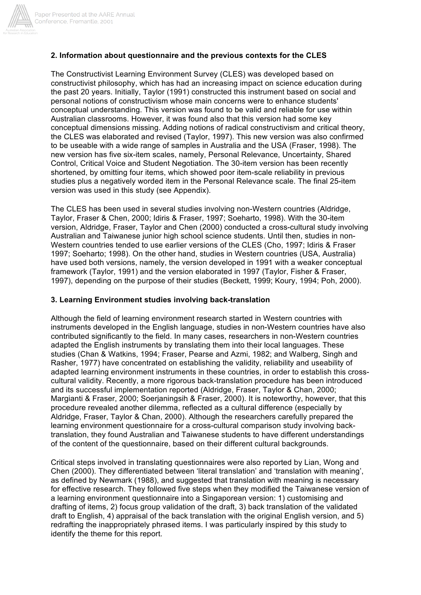

#### **2. Information about questionnaire and the previous contexts for the CLES**

The Constructivist Learning Environment Survey (CLES) was developed based on constructivist philosophy, which has had an increasing impact on science education during the past 20 years. Initially, Taylor (1991) constructed this instrument based on social and personal notions of constructivism whose main concerns were to enhance students' conceptual understanding. This version was found to be valid and reliable for use within Australian classrooms. However, it was found also that this version had some key conceptual dimensions missing. Adding notions of radical constructivism and critical theory, the CLES was elaborated and revised (Taylor, 1997). This new version was also confirmed to be useable with a wide range of samples in Australia and the USA (Fraser, 1998). The new version has five six-item scales, namely, Personal Relevance, Uncertainty, Shared Control, Critical Voice and Student Negotiation. The 30-item version has been recently shortened, by omitting four items, which showed poor item-scale reliability in previous studies plus a negatively worded item in the Personal Relevance scale. The final 25-item version was used in this study (see Appendix).

The CLES has been used in several studies involving non-Western countries (Aldridge, Taylor, Fraser & Chen, 2000; Idiris & Fraser, 1997; Soeharto, 1998). With the 30-item version, Aldridge, Fraser, Taylor and Chen (2000) conducted a cross-cultural study involving Australian and Taiwanese junior high school science students. Until then, studies in non-Western countries tended to use earlier versions of the CLES (Cho, 1997; Idiris & Fraser 1997; Soeharto; 1998). On the other hand, studies in Western countries (USA, Australia) have used both versions, namely, the version developed in 1991 with a weaker conceptual framework (Taylor, 1991) and the version elaborated in 1997 (Taylor, Fisher & Fraser, 1997), depending on the purpose of their studies (Beckett, 1999; Koury, 1994; Poh, 2000).

#### **3. Learning Environment studies involving back-translation**

Although the field of learning environment research started in Western countries with instruments developed in the English language, studies in non-Western countries have also contributed significantly to the field. In many cases, researchers in non-Western countries adapted the English instruments by translating them into their local languages. These studies (Chan & Watkins, 1994; Fraser, Pearse and Azmi, 1982; and Walberg, Singh and Rasher, 1977) have concentrated on establishing the validity, reliability and useability of adapted learning environment instruments in these countries, in order to establish this crosscultural validity. Recently, a more rigorous back-translation procedure has been introduced and its successful implementation reported (Aldridge, Fraser, Taylor & Chan, 2000; Margianti & Fraser, 2000; Soerjaningsih & Fraser, 2000). It is noteworthy, however, that this procedure revealed another dilemma, reflected as a cultural difference (especially by Aldridge, Fraser, Taylor & Chan, 2000). Although the researchers carefully prepared the learning environment questionnaire for a cross-cultural comparison study involving backtranslation, they found Australian and Taiwanese students to have different understandings of the content of the questionnaire, based on their different cultural backgrounds.

Critical steps involved in translating questionnaires were also reported by Lian, Wong and Chen (2000). They differentiated between 'literal translation' and 'translation with meaning', as defined by Newmark (1988), and suggested that translation with meaning is necessary for effective research. They followed five steps when they modified the Taiwanese version of a learning environment questionnaire into a Singaporean version: 1) customising and drafting of items, 2) focus group validation of the draft, 3) back translation of the validated draft to English, 4) appraisal of the back translation with the original English version, and 5) redrafting the inappropriately phrased items. I was particularly inspired by this study to identify the theme for this report.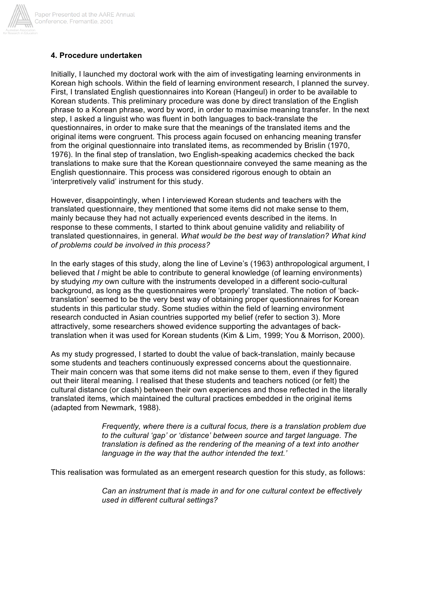

#### **4. Procedure undertaken**

Initially, I launched my doctoral work with the aim of investigating learning environments in Korean high schools. Within the field of learning environment research, I planned the survey. First, I translated English questionnaires into Korean (Hangeul) in order to be available to Korean students. This preliminary procedure was done by direct translation of the English phrase to a Korean phrase, word by word, in order to maximise meaning transfer. In the next step, I asked a linguist who was fluent in both languages to back-translate the questionnaires, in order to make sure that the meanings of the translated items and the original items were congruent. This process again focused on enhancing meaning transfer from the original questionnaire into translated items, as recommended by Brislin (1970, 1976). In the final step of translation, two English-speaking academics checked the back translations to make sure that the Korean questionnaire conveyed the same meaning as the English questionnaire. This process was considered rigorous enough to obtain an 'interpretively valid' instrument for this study.

However, disappointingly, when I interviewed Korean students and teachers with the translated questionnaire, they mentioned that some items did not make sense to them, mainly because they had not actually experienced events described in the items. In response to these comments, I started to think about genuine validity and reliability of translated questionnaires, in general. *What would be the best way of translation? What kind of problems could be involved in this process?*

In the early stages of this study, along the line of Levine's (1963) anthropological argument, I believed that *I* might be able to contribute to general knowledge (of learning environments) by studying *my* own culture with the instruments developed in a different socio-cultural background, as long as the questionnaires were 'properly' translated. The notion of 'backtranslation' seemed to be the very best way of obtaining proper questionnaires for Korean students in this particular study. Some studies within the field of learning environment research conducted in Asian countries supported my belief (refer to section 3). More attractively, some researchers showed evidence supporting the advantages of backtranslation when it was used for Korean students (Kim & Lim, 1999; You & Morrison, 2000).

As my study progressed, I started to doubt the value of back-translation, mainly because some students and teachers continuously expressed concerns about the questionnaire. Their main concern was that some items did not make sense to them, even if they figured out their literal meaning. I realised that these students and teachers noticed (or felt) the cultural distance (or clash) between their own experiences and those reflected in the literally translated items, which maintained the cultural practices embedded in the original items (adapted from Newmark, 1988).

> *Frequently, where there is a cultural focus, there is a translation problem due to the cultural 'gap' or 'distance' between source and target language. The translation is defined as the rendering of the meaning of a text into another language in the way that the author intended the text.'*

This realisation was formulated as an emergent research question for this study, as follows:

*Can an instrument that is made in and for one cultural context be effectively used in different cultural settings?*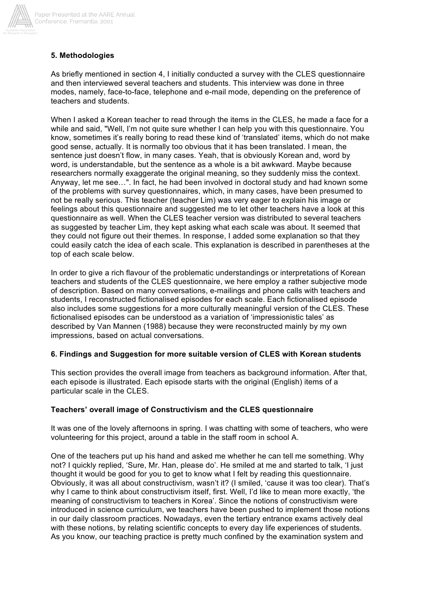

# **5. Methodologies**

As briefly mentioned in section 4, I initially conducted a survey with the CLES questionnaire and then interviewed several teachers and students. This interview was done in three modes, namely, face-to-face, telephone and e-mail mode, depending on the preference of teachers and students.

When I asked a Korean teacher to read through the items in the CLES, he made a face for a while and said. "Well, I'm not quite sure whether I can help you with this questionnaire. You know, sometimes it's really boring to read these kind of 'translated' items, which do not make good sense, actually. It is normally too obvious that it has been translated. I mean, the sentence just doesn't flow, in many cases. Yeah, that is obviously Korean and, word by word, is understandable, but the sentence as a whole is a bit awkward. Maybe because researchers normally exaggerate the original meaning, so they suddenly miss the context. Anyway, let me see…". In fact, he had been involved in doctoral study and had known some of the problems with survey questionnaires, which, in many cases, have been presumed to not be really serious. This teacher (teacher Lim) was very eager to explain his image or feelings about this questionnaire and suggested me to let other teachers have a look at this questionnaire as well. When the CLES teacher version was distributed to several teachers as suggested by teacher Lim, they kept asking what each scale was about. It seemed that they could not figure out their themes. In response, I added some explanation so that they could easily catch the idea of each scale. This explanation is described in parentheses at the top of each scale below.

In order to give a rich flavour of the problematic understandings or interpretations of Korean teachers and students of the CLES questionnaire, we here employ a rather subjective mode of description. Based on many conversations, e-mailings and phone calls with teachers and students, I reconstructed fictionalised episodes for each scale. Each fictionalised episode also includes some suggestions for a more culturally meaningful version of the CLES. These fictionalised episodes can be understood as a variation of 'impressionistic tales' as described by Van Mannen (1988) because they were reconstructed mainly by my own impressions, based on actual conversations.

# **6. Findings and Suggestion for more suitable version of CLES with Korean students**

This section provides the overall image from teachers as background information. After that, each episode is illustrated. Each episode starts with the original (English) items of a particular scale in the CLES.

## **Teachers' overall image of Constructivism and the CLES questionnaire**

It was one of the lovely afternoons in spring. I was chatting with some of teachers, who were volunteering for this project, around a table in the staff room in school A.

One of the teachers put up his hand and asked me whether he can tell me something. Why not? I quickly replied, 'Sure, Mr. Han, please do'. He smiled at me and started to talk, 'I just thought it would be good for you to get to know what I felt by reading this questionnaire. Obviously, it was all about constructivism, wasn't it? (I smiled, 'cause it was too clear). That's why I came to think about constructivism itself, first. Well, I'd like to mean more exactly, 'the meaning of constructivism to teachers in Korea'. Since the notions of constructivism were introduced in science curriculum, we teachers have been pushed to implement those notions in our daily classroom practices. Nowadays, even the tertiary entrance exams actively deal with these notions, by relating scientific concepts to every day life experiences of students. As you know, our teaching practice is pretty much confined by the examination system and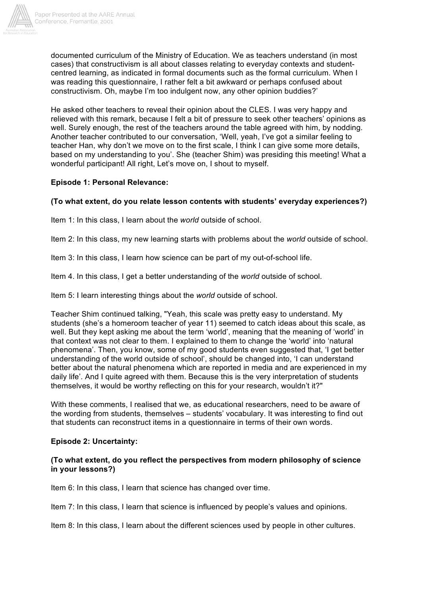

documented curriculum of the Ministry of Education. We as teachers understand (in most cases) that constructivism is all about classes relating to everyday contexts and studentcentred learning, as indicated in formal documents such as the formal curriculum. When I was reading this questionnaire, I rather felt a bit awkward or perhaps confused about constructivism. Oh, maybe I'm too indulgent now, any other opinion buddies?'

He asked other teachers to reveal their opinion about the CLES. I was very happy and relieved with this remark, because I felt a bit of pressure to seek other teachers' opinions as well. Surely enough, the rest of the teachers around the table agreed with him, by nodding. Another teacher contributed to our conversation, 'Well, yeah, I've got a similar feeling to teacher Han, why don't we move on to the first scale, I think I can give some more details, based on my understanding to you'. She (teacher Shim) was presiding this meeting! What a wonderful participant! All right, Let's move on, I shout to myself.

# **Episode 1: Personal Relevance:**

# **(To what extent, do you relate lesson contents with students' everyday experiences?)**

Item 1: In this class, I learn about the *world* outside of school.

Item 2: In this class, my new learning starts with problems about the *world* outside of school.

Item 3: In this class, I learn how science can be part of my out-of-school life.

Item 4. In this class, I get a better understanding of the *world* outside of school.

Item 5: I learn interesting things about the *world* outside of school.

Teacher Shim continued talking, "Yeah, this scale was pretty easy to understand. My students (she's a homeroom teacher of year 11) seemed to catch ideas about this scale, as well. But they kept asking me about the term 'world', meaning that the meaning of 'world' in that context was not clear to them. I explained to them to change the 'world' into 'natural phenomena'. Then, you know, some of my good students even suggested that, 'I get better understanding of the world outside of school', should be changed into, 'I can understand better about the natural phenomena which are reported in media and are experienced in my daily life'. And I quite agreed with them. Because this is the very interpretation of students themselves, it would be worthy reflecting on this for your research, wouldn't it?"

With these comments, I realised that we, as educational researchers, need to be aware of the wording from students, themselves – students' vocabulary. It was interesting to find out that students can reconstruct items in a questionnaire in terms of their own words.

## **Episode 2: Uncertainty:**

## **(To what extent, do you reflect the perspectives from modern philosophy of science in your lessons?)**

Item 6: In this class, I learn that science has changed over time.

Item 7: In this class, I learn that science is influenced by people's values and opinions.

Item 8: In this class, I learn about the different sciences used by people in other cultures.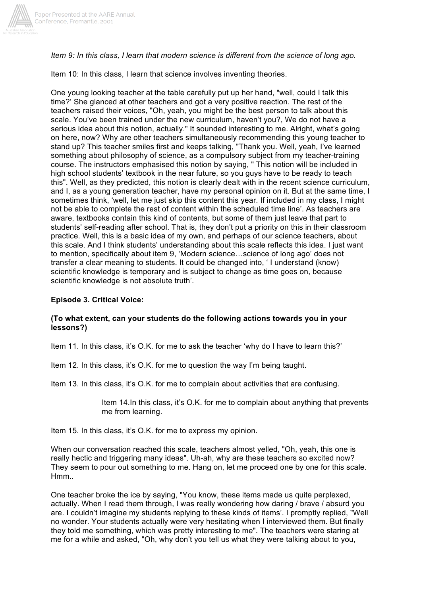

*Item 9: In this class, I learn that modern science is different from the science of long ago.*

Item 10: In this class, I learn that science involves inventing theories.

One young looking teacher at the table carefully put up her hand, "well, could I talk this time?' She glanced at other teachers and got a very positive reaction. The rest of the teachers raised their voices, "Oh, yeah, you might be the best person to talk about this scale. You've been trained under the new curriculum, haven't you?, We do not have a serious idea about this notion, actually." It sounded interesting to me. Alright, what's going on here, now? Why are other teachers simultaneously recommending this young teacher to stand up? This teacher smiles first and keeps talking, "Thank you. Well, yeah, I've learned something about philosophy of science, as a compulsory subject from my teacher-training course. The instructors emphasised this notion by saying, " This notion will be included in high school students' textbook in the near future, so you guys have to be ready to teach this". Well, as they predicted, this notion is clearly dealt with in the recent science curriculum, and I, as a young generation teacher, have my personal opinion on it. But at the same time, I sometimes think, 'well, let me just skip this content this year. If included in my class, I might not be able to complete the rest of content within the scheduled time line'. As teachers are aware, textbooks contain this kind of contents, but some of them just leave that part to students' self-reading after school. That is, they don't put a priority on this in their classroom practice. Well, this is a basic idea of my own, and perhaps of our science teachers, about this scale. And I think students' understanding about this scale reflects this idea. I just want to mention, specifically about item 9, 'Modern science…science of long ago' does not transfer a clear meaning to students. It could be changed into, ' I understand (know) scientific knowledge is temporary and is subject to change as time goes on, because scientific knowledge is not absolute truth'.

## **Episode 3. Critical Voice:**

## **(To what extent, can your students do the following actions towards you in your lessons?)**

Item 11. In this class, it's O.K. for me to ask the teacher 'why do I have to learn this?'

Item 12. In this class, it's O.K. for me to question the way I'm being taught.

Item 13. In this class, it's O.K. for me to complain about activities that are confusing.

Item 14.In this class, it's O.K. for me to complain about anything that prevents me from learning.

Item 15. In this class, it's O.K. for me to express my opinion.

When our conversation reached this scale, teachers almost yelled, "Oh, yeah, this one is really hectic and triggering many ideas". Uh-ah, why are these teachers so excited now? They seem to pour out something to me. Hang on, let me proceed one by one for this scale. Hmm..

One teacher broke the ice by saying, "You know, these items made us quite perplexed, actually. When I read them through, I was really wondering how daring / brave / absurd you are. I couldn't imagine my students replying to these kinds of items'. I promptly replied, "Well no wonder. Your students actually were very hesitating when I interviewed them. But finally they told me something, which was pretty interesting to me". The teachers were staring at me for a while and asked, "Oh, why don't you tell us what they were talking about to you,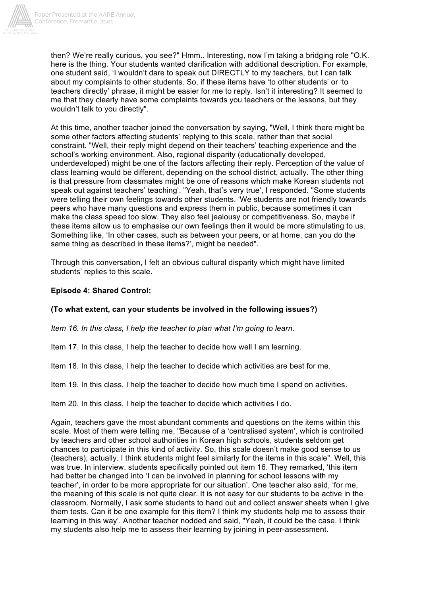

then? We're really curious, you see?" Hmm.. Interesting, now I'm taking a bridging role "O.K. here is the thing. Your students wanted clarification with additional description. For example, one student said, 'I wouldn't dare to speak out DIRECTLY to my teachers, but I can talk about my complaints to other students. So, if these items have 'to other students' or 'to teachers directly' phrase, it might be easier for me to reply. Isn't it interesting? It seemed to me that they clearly have some complaints towards you teachers or the lessons, but they wouldn't talk to you directly".

At this time, another teacher joined the conversation by saying, "Well, I think there might be some other factors affecting students' replying to this scale, rather than that social constraint. "Well, their reply might depend on their teachers' teaching experience and the school's working environment. Also, regional disparity (educationally developed, underdeveloped) might be one of the factors affecting their reply. Perception of the value of class learning would be different, depending on the school district, actually. The other thing is that pressure from classmates might be one of reasons which make Korean students not speak out against teachers' teaching'. "Yeah, that's very true', I responded. "Some students were telling their own feelings towards other students. 'We students are not friendly towards peers who have many questions and express them in public, because sometimes it can make the class speed too slow. They also feel jealousy or competitiveness. So, maybe if these items allow us to emphasise our own feelings then it would be more stimulating to us. Something like, 'In other cases, such as between your peers, or at home, can you do the same thing as described in these items?', might be needed".

Through this conversation, I felt an obvious cultural disparity which might have limited students' replies to this scale.

# **Episode 4: Shared Control:**

## **(To what extent, can your students be involved in the following issues?)**

*Item 16. In this class, I help the teacher to plan what I'm going to learn.*

Item 17. In this class, I help the teacher to decide how well I am learning.

Item 18. In this class, I help the teacher to decide which activities are best for me.

Item 19. In this class, I help the teacher to decide how much time I spend on activities.

Item 20. In this class, I help the teacher to decide which activities I do.

Again, teachers gave the most abundant comments and questions on the items within this scale. Most of them were telling me, "Because of a 'centralised system', which is controlled by teachers and other school authorities in Korean high schools, students seldom get chances to participate in this kind of activity. So, this scale doesn't make good sense to us (teachers), actually. I think students might feel similarly for the items in this scale". Well, this was true. In interview, students specifically pointed out item 16. They remarked, 'this item had better be changed into 'I can be involved in planning for school lessons with my teacher', in order to be more appropriate for our situation'. One teacher also said, 'for me, the meaning of this scale is not quite clear. It is not easy for our students to be active in the classroom. Normally, I ask some students to hand out and collect answer sheets when I give them tests. Can it be one example for this item? I think my students help me to assess their learning in this way'. Another teacher nodded and said, "Yeah, it could be the case. I think my students also help me to assess their learning by joining in peer-assessment.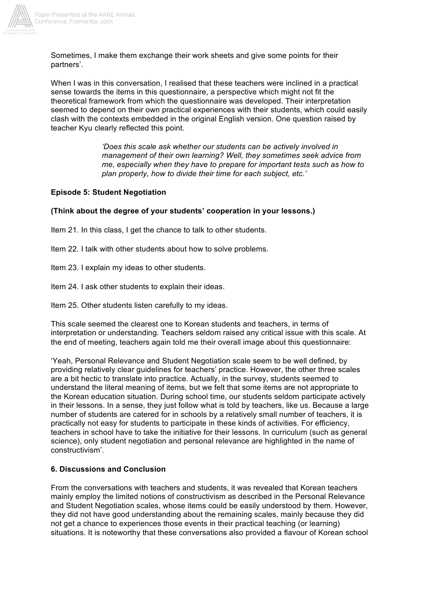

Sometimes, I make them exchange their work sheets and give some points for their partners'.

When I was in this conversation. I realised that these teachers were inclined in a practical sense towards the items in this questionnaire, a perspective which might not fit the theoretical framework from which the questionnaire was developed. Their interpretation seemed to depend on their own practical experiences with their students, which could easily clash with the contexts embedded in the original English version. One question raised by teacher Kyu clearly reflected this point.

> *'Does this scale ask whether our students can be actively involved in management of their own learning? Well, they sometimes seek advice from me, especially when they have to prepare for important tests such as how to plan properly, how to divide their time for each subject, etc.'*

#### **Episode 5: Student Negotiation**

#### **(Think about the degree of your students' cooperation in your lessons.)**

Item 21. In this class, I get the chance to talk to other students.

Item 22. I talk with other students about how to solve problems.

Item 23. I explain my ideas to other students.

Item 24. I ask other students to explain their ideas.

Item 25. Other students listen carefully to my ideas.

This scale seemed the clearest one to Korean students and teachers, in terms of interpretation or understanding. Teachers seldom raised any critical issue with this scale. At the end of meeting, teachers again told me their overall image about this questionnaire:

'Yeah, Personal Relevance and Student Negotiation scale seem to be well defined, by providing relatively clear guidelines for teachers' practice. However, the other three scales are a bit hectic to translate into practice. Actually, in the survey, students seemed to understand the literal meaning of items, but we felt that some items are not appropriate to the Korean education situation. During school time, our students seldom participate actively in their lessons. In a sense, they just follow what is told by teachers, like us. Because a large number of students are catered for in schools by a relatively small number of teachers, it is practically not easy for students to participate in these kinds of activities. For efficiency, teachers in school have to take the initiative for their lessons. In curriculum (such as general science), only student negotiation and personal relevance are highlighted in the name of constructivism'.

## **6. Discussions and Conclusion**

From the conversations with teachers and students, it was revealed that Korean teachers mainly employ the limited notions of constructivism as described in the Personal Relevance and Student Negotiation scales, whose items could be easily understood by them. However, they did not have good understanding about the remaining scales, mainly because they did not get a chance to experiences those events in their practical teaching (or learning) situations. It is noteworthy that these conversations also provided a flavour of Korean school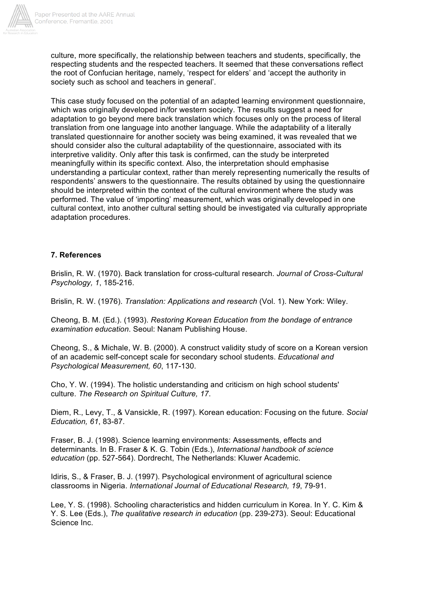

culture, more specifically, the relationship between teachers and students, specifically, the respecting students and the respected teachers. It seemed that these conversations reflect the root of Confucian heritage, namely, 'respect for elders' and 'accept the authority in society such as school and teachers in general'.

This case study focused on the potential of an adapted learning environment questionnaire, which was originally developed in/for western society. The results suggest a need for adaptation to go beyond mere back translation which focuses only on the process of literal translation from one language into another language. While the adaptability of a literally translated questionnaire for another society was being examined, it was revealed that we should consider also the cultural adaptability of the questionnaire, associated with its interpretive validity. Only after this task is confirmed, can the study be interpreted meaningfully within its specific context. Also, the interpretation should emphasise understanding a particular context, rather than merely representing numerically the results of respondents' answers to the questionnaire. The results obtained by using the questionnaire should be interpreted within the context of the cultural environment where the study was performed. The value of 'importing' measurement, which was originally developed in one cultural context, into another cultural setting should be investigated via culturally appropriate adaptation procedures.

## **7. References**

Brislin, R. W. (1970). Back translation for cross-cultural research. *Journal of Cross-Cultural Psychology, 1*, 185-216.

Brislin, R. W. (1976). *Translation: Applications and research* (Vol. 1). New York: Wiley.

Cheong, B. M. (Ed.). (1993). *Restoring Korean Education from the bondage of entrance examination education*. Seoul: Nanam Publishing House.

Cheong, S., & Michale, W. B. (2000). A construct validity study of score on a Korean version of an academic self-concept scale for secondary school students. *Educational and Psychological Measurement, 60*, 117-130.

Cho, Y. W. (1994). The holistic understanding and criticism on high school students' culture. *The Research on Spiritual Culture, 17*.

Diem, R., Levy, T., & Vansickle, R. (1997). Korean education: Focusing on the future. *Social Education, 61*, 83-87.

Fraser, B. J. (1998). Science learning environments: Assessments, effects and determinants. In B. Fraser & K. G. Tobin (Eds.), *International handbook of science education* (pp. 527-564). Dordrecht, The Netherlands: Kluwer Academic.

Idiris, S., & Fraser, B. J. (1997). Psychological environment of agricultural science classrooms in Nigeria. *International Journal of Educational Research, 19*, 79-91.

Lee, Y. S. (1998). Schooling characteristics and hidden curriculum in Korea. In Y. C. Kim & Y. S. Lee (Eds.), *The qualitative research in education* (pp. 239-273). Seoul: Educational Science Inc.